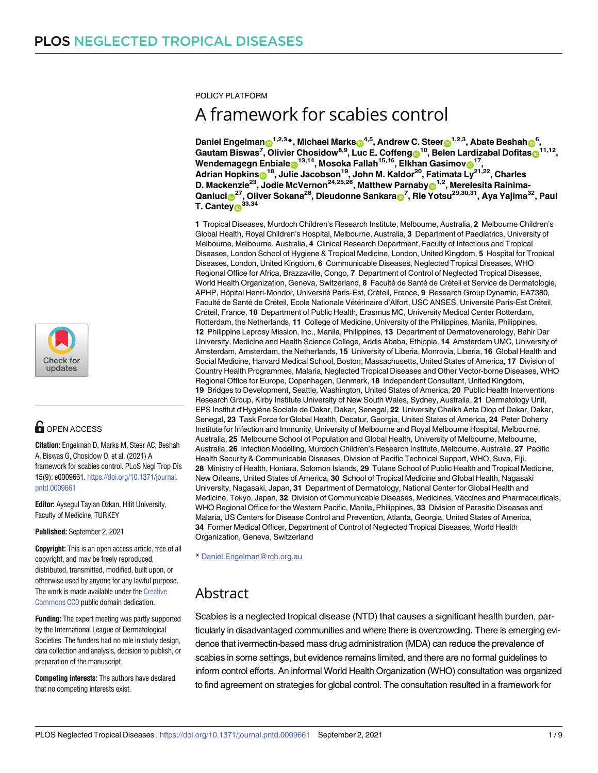POLICY PLATFORM

# A framework for scabies control

Daniel Engelman**o <sup>1,2,3</sup>\*, Michael Markso<sup>4,5</sup>, Andrew C.** Steero <sup>1,2,3</sup>, Abate Beshaho<sup>6</sup>, **Gautam Biswas7 , Olivier Chosidow8,9, Luc E. Coffen[gID](https://orcid.org/0000-0002-4425-2264)10, Belen Lardizabal Dofitas[ID1](https://orcid.org/0000-0001-5494-9455)1,12,**  $N$ endemagegn Enbiale $\bullet$ <sup>13,14</sup>, Mosoka Fallah<sup>15,16</sup>, Elkhan Gasimov $\bullet$ <sup>17</sup>, **Adrian Hopkin[sID](https://orcid.org/0000-0002-3367-3231)18, Julie Jacobson19, John M. Kaldor20, Fatimata Ly21,22, Charles**  $D$ . Mackenzie<sup>23</sup>, Jodie McVernon<sup>24,25,26</sup>, Matthew Parnaby $\mathbf{D}^{1,2}$ , Merelesita Rainima- $\alpha$ Qaniuci $\mathbf{D}^{27}$ , Oliver Sokana<sup>28</sup>, Dieudonne Sankara $\mathbf{D}^{7}$ , Rie Yotsu<sup>29,30,31</sup>, Aya Yajima<sup>32</sup>, Paul **T. Cantey[ID3](https://orcid.org/0000-0001-5290-6849)3,34**

**1** Tropical Diseases, Murdoch Children's Research Institute, Melbourne, Australia, **2** Melbourne Children's Global Health, Royal Children's Hospital, Melbourne, Australia, **3** Department of Paediatrics, University of Melbourne, Melbourne, Australia, **4** Clinical Research Department, Faculty of Infectious and Tropical Diseases, London School of Hygiene & Tropical Medicine, London, United Kingdom, **5** Hospital for Tropical Diseases, London, United Kingdom, **6** Communicable Diseases, Neglected Tropical Diseases, WHO Regional Office for Africa, Brazzaville, Congo, **7** Department of Control of Neglected Tropical Diseases, World Health Organization, Geneva, Switzerland, 8 Faculté de Santé de Créteil et Service de Dermatologie, APHP, Hoˆpital Henri-Mondor, Universite´ Paris-Est, Cre´teil, France, **9** Research Group Dynamic, EA7380, Faculté de Santé de Créteil, Ecole Nationale Vétérinaire d'Alfort, USC ANSES, Université Paris-Est Créteil, Cre´teil, France, **10** Department of Public Health, Erasmus MC, University Medical Center Rotterdam, Rotterdam, the Netherlands, **11** College of Medicine, University of the Philippines, Manila, Philippines, **12** Philippine Leprosy Mission, Inc., Manila, Philippines, **13** Department of Dermatovenerology, Bahir Dar University, Medicine and Health Science College, Addis Ababa, Ethiopia, **14** Amsterdam UMC, University of Amsterdam, Amsterdam, the Netherlands, **15** University of Liberia, Monrovia, Liberia, **16** Global Health and Social Medicine, Harvard Medical School, Boston, Massachusetts, United States of America, **17** Division of Country Health Programmes, Malaria, Neglected Tropical Diseases and Other Vector-borne Diseases, WHO Regional Office for Europe, Copenhagen, Denmark, **18** Independent Consultant, United Kingdom, **19** Bridges to Development, Seattle, Washington, United States of America, **20** Public Health Interventions Research Group, Kirby Institute University of New South Wales, Sydney, Australia, **21** Dermatology Unit, EPS Institut d'Hygie´ne Sociale de Dakar, Dakar, Senegal, **22** University Cheikh Anta Diop of Dakar, Dakar, Senegal, **23** Task Force for Global Health, Decatur, Georgia, United States of America, **24** Peter Doherty Institute for Infection and Immunity, University of Melbourne and Royal Melbourne Hospital, Melbourne, Australia, **25** Melbourne School of Population and Global Health, University of Melbourne, Melbourne, Australia, **26** Infection Modelling, Murdoch Children's Research Institute, Melbourne, Australia, **27** Pacific Health Security & Communicable Diseases, Division of Pacific Technical Support, WHO, Suva, Fiji, **28** Ministry of Health, Honiara, Solomon Islands, **29** Tulane School of Public Health and Tropical Medicine, New Orleans, United States of America, **30** School of Tropical Medicine and Global Health, Nagasaki University, Nagasaki, Japan, **31** Department of Dermatology, National Center for Global Health and Medicine, Tokyo, Japan, **32** Division of Communicable Diseases, Medicines, Vaccines and Pharmaceuticals, WHO Regional Office for the Western Pacific, Manila, Philippines, **33** Division of Parasitic Diseases and Malaria, US Centers for Disease Control and Prevention, Atlanta, Georgia, United States of America, **34** Former Medical Officer, Department of Control of Neglected Tropical Diseases, World Health Organization, Geneva, Switzerland

\* Daniel.Engelman@rch.org.au

# Abstract

*AU*Scabies : *Plea*is*seco* a neglected *nfirmthata*tropical *llheadingl*disease *evelsarere* (NTD) *presente* that*dcor* causes *rectly*a*:*significant health burden, particularly in disadvantaged communities and where there is overcrowding. There is emerging evidence that ivermectin-based mass drug administration (MDA) can reduce the prevalence of scabies in some settings, but evidence remains limited, and there are no formal guidelines to inform control efforts. An informal World Health Organization (WHO) consultation was organized to find agreement on strategies for global control. The consultation resulted in a framework for



# **G** OPEN ACCESS

**Citation:** Engelman D, Marks M, Steer AC, Beshah A, Biswas G, Chosidow O, et al. (2021) A framework for scabies control. PLoS Negl Trop Dis 15(9): e0009661. [https://doi.org/10.1371/journal.](https://doi.org/10.1371/journal.pntd.0009661) [pntd.0009661](https://doi.org/10.1371/journal.pntd.0009661)

**Editor:** Aysegul Taylan Ozkan, Hitit University, Faculty of Medicine, TURKEY

**Published:** September 2, 2021

**Copyright:** This is an open access article, free of all copyright, and may be freely reproduced, distributed, transmitted, modified, built upon, or otherwise used by anyone for any lawful purpose. The work is made available under the [Creative](https://creativecommons.org/publicdomain/zero/1.0/) [Commons](https://creativecommons.org/publicdomain/zero/1.0/) CC0 public domain dedication.

**Funding:** The expert meeting was partly supported by the International League of Dermatological Societies. The funders had no role in study design, data collection and analysis, decision to publish, or preparation of the manuscript.

**Competing interests:** The authors have declared that no competing interests exist.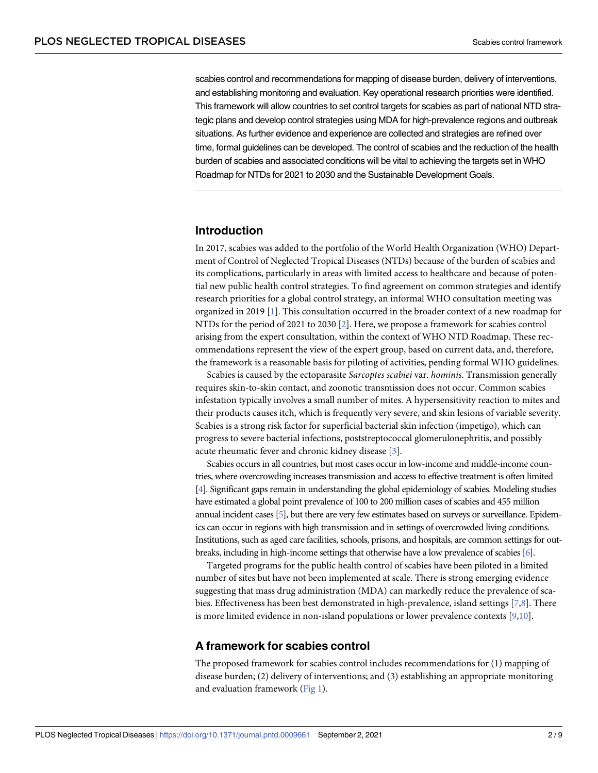<span id="page-1-0"></span>scabies control and recommendations for mapping of disease burden, delivery of interventions, and establishing monitoring and evaluation. Key operational research priorities were identified. This framework will allow countries to set control targets for scabies as part of national NTD strategic plans and develop control strategies using MDA for high-prevalence regions and outbreak situations. As further evidence and experience are collected and strategies are refined over time, formal guidelines can be developed. The control of scabies and the reduction of the health burden of scabies and associated conditions will be vital to achieving the targets set in WHO Roadmap for NTDs for 2021 to 2030 and the Sustainable Development Goals.

# **Introduction**

In 2017, scabies was added to the portfolio of the World Health Organization (WHO) Department of Control of Neglected Tropical Diseases (NTDs) because of the burden of scabies and its complications, particularly in areas with limited access to healthcare and because of potential new public health control strategies. To find agreement on common strategies and identify research priorities for a global control strategy, an informal WHO consultation meeting was organized in 2019 [[1\]](#page-7-0). This consultation occurred in the broader context of a new roadmap for NTDs for the period of 2021 to 2030 [[2\]](#page-7-0). Here, we propose a framework for scabies control arising from the expert consultation, within the context of WHO NTD Roadmap. These recommendations represent the view of the expert group, based on current data, and, therefore, the framework is a reasonable basis for piloting of activities, pending formal WHO guidelines.

Scabies is caused by the ectoparasite *Sarcoptes scabiei* var. *hominis*. Transmission generally requires skin-to-skin contact, and zoonotic transmission does not occur. Common scabies infestation typically involves a small number of mites. A hypersensitivity reaction to mites and their products causes itch, which is frequently very severe, and skin lesions of variable severity. Scabies is a strong risk factor for superficial bacterial skin infection (impetigo), which can progress to severe bacterial infections, poststreptococcal glomerulonephritis, and possibly acute rheumatic fever and chronic kidney disease [\[3](#page-7-0)].

Scabies occurs in all countries, but most cases occur in low-income and middle-income countries, where overcrowding increases transmission and access to effective treatment is often limited [\[4\]](#page-7-0). Significant gaps remain in understanding the global epidemiology of scabies. Modeling studies have estimated a global point prevalence of 100 to 200 million cases of scabies and 455 million annual incident cases [\[5\]](#page-7-0), but there are very few estimates based on surveys or surveillance. Epidemics can occur in regions with high transmission and in settings of overcrowded living conditions. Institutions, such as aged care facilities, schools, prisons, and hospitals, are common settings for outbreaks, including in high-income settings that otherwise have a low prevalence of scabies [\[6\]](#page-7-0).

Targeted programs for the public health control of scabies have been piloted in a limited number of sites but have not been implemented at scale. There is strong emerging evidence suggesting that mass drug administration (MDA) can markedly reduce the prevalence of scabies. Effectiveness has been best demonstrated in high-prevalence, island settings [[7](#page-7-0),[8](#page-7-0)]. There is more limited evidence in non-island populations or lower prevalence contexts  $[9,10]$ .

# **A framework for scabies control**

The proposed framework for scabies control includes recommendations for (1) mapping of disease burden; (2) delivery of interventions; and (3) establishing an appropriate monitoring and evaluation framework [\(Fig](#page-2-0) 1).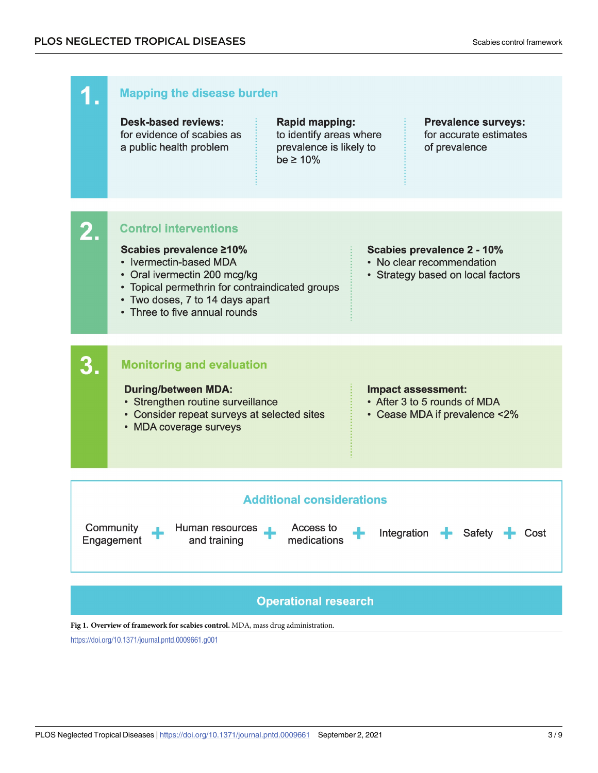<span id="page-2-0"></span>

# **Operational research**

**[Fig](#page-1-0) 1. Overview of framework for scabies control.** MDA, mass drug administration.

<https://doi.org/10.1371/journal.pntd.0009661.g001>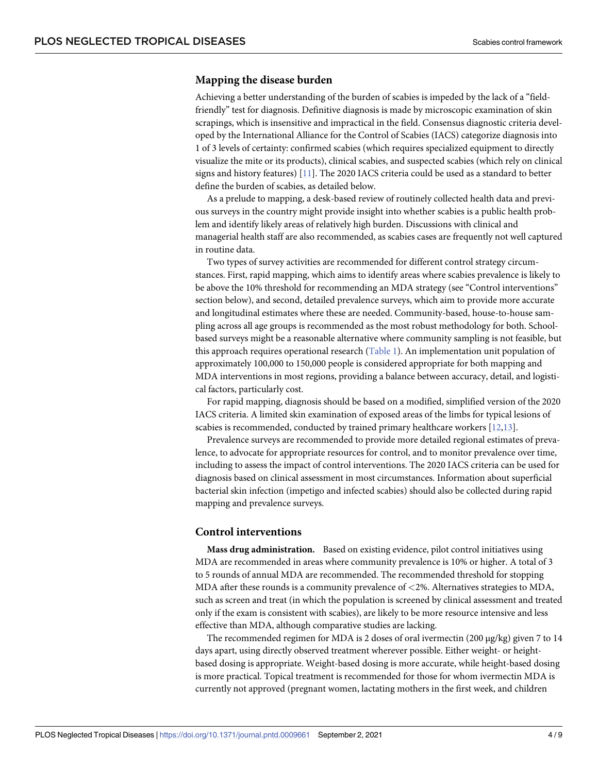### <span id="page-3-0"></span>**Mapping the disease burden**

Achieving a better understanding of the burden of scabies is impeded by the lack of a "fieldfriendly" test for diagnosis. Definitive diagnosis is made by microscopic examination of skin scrapings, which is insensitive and impractical in the field. Consensus diagnostic criteria developed by the International Alliance for the Control of Scabies (IACS) categorize diagnosis into 1 of 3 levels of certainty: confirmed scabies (which requires specialized equipment to directly visualize the mite or its products), clinical scabies, and suspected scabies (which rely on clinical signs and history features) [[11](#page-7-0)]. The 2020 IACS criteria could be used as a standard to better define the burden of scabies, as detailed below.

As a prelude to mapping, a desk-based review of routinely collected health data and previous surveys in the country might provide insight into whether scabies is a public health problem and identify likely areas of relatively high burden. Discussions with clinical and managerial health staff are also recommended, as scabies cases are frequently not well captured in routine data.

Two types of survey activities are recommended for different control strategy circumstances. First, rapid mapping, which aims to identify areas where scabies prevalence is likely to be above the 10% threshold for recommending an MDA strategy (see "Control interventions" section below), and second, detailed prevalence surveys, which aim to provide more accurate and longitudinal estimates where these are needed. Community-based, house-to-house sampling across all age groups is recommended as the most robust methodology for both. Schoolbased surveys might be a reasonable alternative where community sampling is not feasible, but this approach requires operational research ([Table](#page-4-0) 1). An implementation unit population of approximately 100,000 to 150,000 people is considered appropriate for both mapping and MDA interventions in most regions, providing a balance between accuracy, detail, and logistical factors, particularly cost.

For rapid mapping, diagnosis should be based on a modified, simplified version of the 2020 IACS criteria. A limited skin examination of exposed areas of the limbs for typical lesions of scabies is recommended, conducted by trained primary healthcare workers [[12,13\]](#page-7-0).

Prevalence surveys are recommended to provide more detailed regional estimates of prevalence, to advocate for appropriate resources for control, and to monitor prevalence over time, including to assess the impact of control interventions. The 2020 IACS criteria can be used for diagnosis based on clinical assessment in most circumstances. Information about superficial bacterial skin infection (impetigo and infected scabies) should also be collected during rapid mapping and prevalence surveys.

# **Control interventions**

**Mass drug administration.** Based on existing evidence, pilot control initiatives using MDA are recommended in areas where community prevalence is 10% or higher. A total of 3 to 5 rounds of annual MDA are recommended. The recommended threshold for stopping MDA after these rounds is a community prevalence of *<*2%. Alternatives strategies to MDA, such as screen and treat (in which the population is screened by clinical assessment and treated only if the exam is consistent with scabies), are likely to be more resource intensive and less effective than MDA, although comparative studies are lacking.

The recommended regimen for MDA is 2 doses of oral ivermectin (200 μg/kg) given 7 to 14 days apart, using directly observed treatment wherever possible. Either weight- or heightbased dosing is appropriate. Weight-based dosing is more accurate, while height-based dosing is more practical. Topical treatment is recommended for those for whom ivermectin MDA is currently not approved (pregnant women, lactating mothers in the first week, and children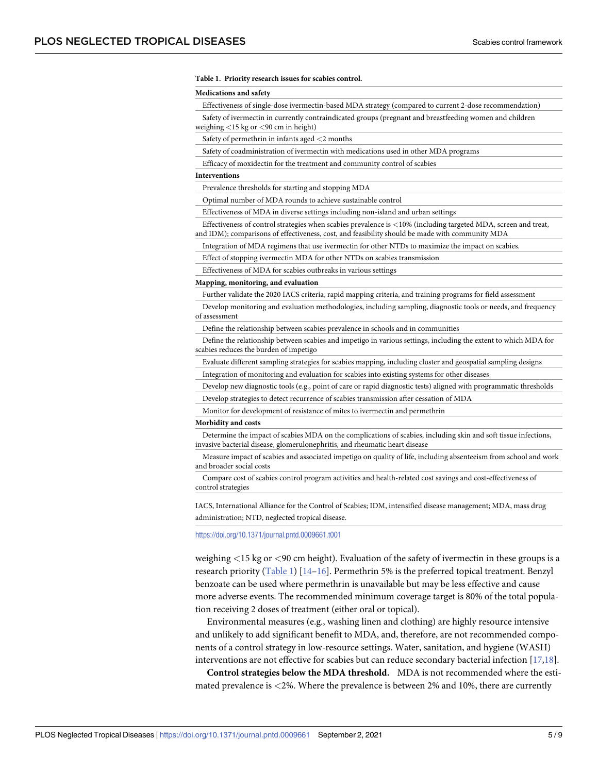#### <span id="page-4-0"></span>**[Table](#page-3-0) 1. Priority research issues for scabies control.**

#### **Medications and safety**

Effectiveness of single-dose ivermectin-based MDA strategy (compared to current 2-dose recommendation)

Safety of ivermectin in currently contraindicated groups (pregnant and breastfeeding women and children weighing *<*15 kg or *<*90 cm in height)

Safety of permethrin in infants aged *<*2 months

Safety of coadministration of ivermectin with medications used in other MDA programs

Efficacy of moxidectin for the treatment and community control of scabies

#### **Interventions**

Prevalence thresholds for starting and stopping MDA

Optimal number of MDA rounds to achieve sustainable control

Effectiveness of MDA in diverse settings including non-island and urban settings

Effectiveness of control strategies when scabies prevalence is *<*10% (including targeted MDA, screen and treat, and IDM); comparisons of effectiveness, cost, and feasibility should be made with community MDA

Integration of MDA regimens that use ivermectin for other NTDs to maximize the impact on scabies.

Effect of stopping ivermectin MDA for other NTDs on scabies transmission

Effectiveness of MDA for scabies outbreaks in various settings

#### **Mapping, monitoring, and evaluation**

Further validate the 2020 IACS criteria, rapid mapping criteria, and training programs for field assessment

Develop monitoring and evaluation methodologies, including sampling, diagnostic tools or needs, and frequency of assessment

Define the relationship between scabies prevalence in schools and in communities

Define the relationship between scabies and impetigo in various settings, including the extent to which MDA for scabies reduces the burden of impetigo

Evaluate different sampling strategies for scabies mapping, including cluster and geospatial sampling designs

Integration of monitoring and evaluation for scabies into existing systems for other diseases

Develop new diagnostic tools (e.g., point of care or rapid diagnostic tests) aligned with programmatic thresholds

Develop strategies to detect recurrence of scabies transmission after cessation of MDA

Monitor for development of resistance of mites to ivermectin and permethrin

#### **Morbidity and costs**

Determine the impact of scabies MDA on the complications of scabies, including skin and soft tissue infections, invasive bacterial disease, glomerulonephritis, and rheumatic heart disease

Measure impact of scabies and associated impetigo on quality of life, including absenteeism from school and work and broader social costs

Compare cost of scabies control program activities and health-related cost savings and cost-effectiveness of control strategies

IACS, International Alliance for the Control of Scabies; IDM, intensified disease management; MDA, mass drug administration; NTD, neglected tropical disease.

<https://doi.org/10.1371/journal.pntd.0009661.t001>

weighing *<*15 kg or *<*90 cm height). Evaluation of the safety of ivermectin in these groups is a research priority (Table 1) [[14](#page-8-0)–[16](#page-8-0)]. Permethrin 5% is the preferred topical treatment. Benzyl benzoate can be used where permethrin is unavailable but may be less effective and cause more adverse events. The recommended minimum coverage target is 80% of the total population receiving 2 doses of treatment (either oral or topical).

Environmental measures (e.g., washing linen and clothing) are highly resource intensive and unlikely to add significant benefit to MDA, and, therefore, are not recommended components of a control strategy in low-resource settings. Water, sanitation, and hygiene (WASH) interventions are not effective for scabies but can reduce secondary bacterial infection [[17](#page-8-0),[18](#page-8-0)].

**Control strategies below the MDA threshold.** MDA is not recommended where the estimated prevalence is *<*2%. Where the prevalence is between 2% and 10%, there are currently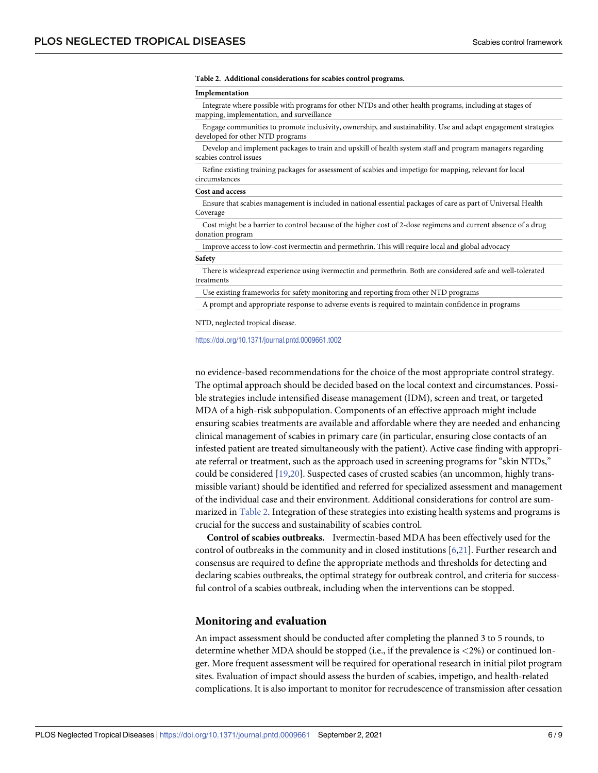#### <span id="page-5-0"></span>**Table 2. Additional considerations for scabies control programs.**

#### **Implementation**

Integrate where possible with programs for other NTDs and other health programs, including at stages of mapping, implementation, and surveillance

Engage communities to promote inclusivity, ownership, and sustainability. Use and adapt engagement strategies developed for other NTD programs

Develop and implement packages to train and upskill of health system staff and program managers regarding scabies control issues

Refine existing training packages for assessment of scabies and impetigo for mapping, relevant for local circumstances

#### **Cost and access**

Ensure that scabies management is included in national essential packages of care as part of Universal Health Coverage

Cost might be a barrier to control because of the higher cost of 2-dose regimens and current absence of a drug donation program

Improve access to low-cost ivermectin and permethrin. This will require local and global advocacy

#### **Safety**

There is widespread experience using ivermectin and permethrin. Both are considered safe and well-tolerated treatments

Use existing frameworks for safety monitoring and reporting from other NTD programs

A prompt and appropriate response to adverse events is required to maintain confidence in programs

NTD, neglected tropical disease.

<https://doi.org/10.1371/journal.pntd.0009661.t002>

no evidence-based recommendations for the choice of the most appropriate control strategy. The optimal approach should be decided based on the local context and circumstances. Possible strategies include intensified disease management (IDM), screen and treat, or targeted MDA of a high-risk subpopulation. Components of an effective approach might include ensuring scabies treatments are available and affordable where they are needed and enhancing clinical management of scabies in primary care (in particular, ensuring close contacts of an infested patient are treated simultaneously with the patient). Active case finding with appropriate referral or treatment, such as the approach used in screening programs for "skin NTDs," could be considered [\[19,20\]](#page-8-0). Suspected cases of crusted scabies (an uncommon, highly transmissible variant) should be identified and referred for specialized assessment and management of the individual case and their environment. Additional considerations for control are summarized in Table 2. Integration of these strategies into existing health systems and programs is crucial for the success and sustainability of scabies control.

**Control of scabies outbreaks.** Ivermectin-based MDA has been effectively used for the control of outbreaks in the community and in closed institutions [[6](#page-7-0),[21](#page-8-0)]. Further research and consensus are required to define the appropriate methods and thresholds for detecting and declaring scabies outbreaks, the optimal strategy for outbreak control, and criteria for successful control of a scabies outbreak, including when the interventions can be stopped.

#### **Monitoring and evaluation**

An impact assessment should be conducted after completing the planned 3 to 5 rounds, to determine whether MDA should be stopped (i.e., if the prevalence is *<*2%) or continued longer. More frequent assessment will be required for operational research in initial pilot program sites. Evaluation of impact should assess the burden of scabies, impetigo, and health-related complications. It is also important to monitor for recrudescence of transmission after cessation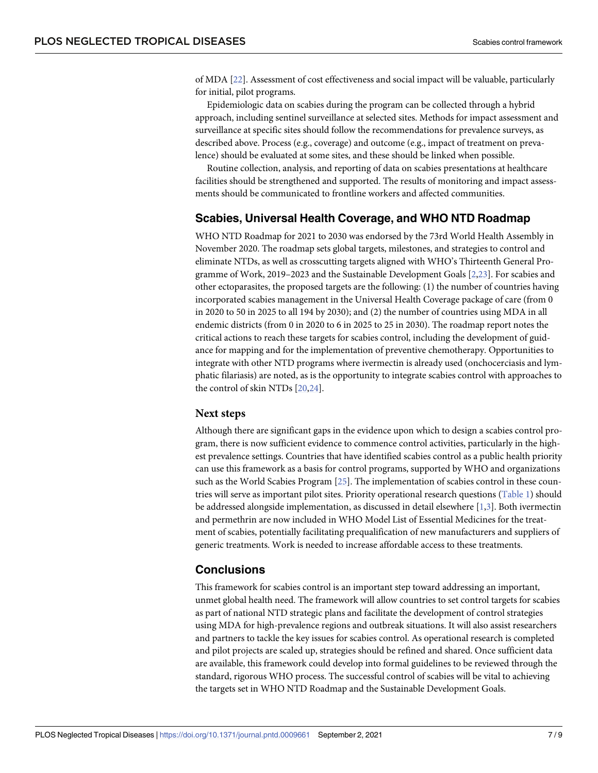<span id="page-6-0"></span>of MDA [[22](#page-8-0)]. Assessment of cost effectiveness and social impact will be valuable, particularly for initial, pilot programs.

Epidemiologic data on scabies during the program can be collected through a hybrid approach, including sentinel surveillance at selected sites. Methods for impact assessment and surveillance at specific sites should follow the recommendations for prevalence surveys, as described above. Process (e.g., coverage) and outcome (e.g., impact of treatment on prevalence) should be evaluated at some sites, and these should be linked when possible.

Routine collection, analysis, and reporting of data on scabies presentations at healthcare facilities should be strengthened and supported. The results of monitoring and impact assessments should be communicated to frontline workers and affected communities.

# **Scabies, Universal Health Coverage, and WHO NTD Roadmap**

WHO NTD Roadmap for 2021 to 2030 was endorsed by the 73rd World Health Assembly in November 2020. The roadmap sets global targets, milestones, and strategies to control and eliminate NTDs, as well as crosscutting targets aligned with WHO's Thirteenth General Programme of Work, 2019–2023 and the Sustainable Development Goals [[2,](#page-7-0)[23](#page-8-0)]. For scabies and other ectoparasites, the proposed targets are the following: (1) the number of countries having incorporated scabies management in the Universal Health Coverage package of care (from 0 in 2020 to 50 in 2025 to all 194 by 2030); and (2) the number of countries using MDA in all endemic districts (from 0 in 2020 to 6 in 2025 to 25 in 2030). The roadmap report notes the critical actions to reach these targets for scabies control, including the development of guidance for mapping and for the implementation of preventive chemotherapy. Opportunities to integrate with other NTD programs where ivermectin is already used (onchocerciasis and lymphatic filariasis) are noted, as is the opportunity to integrate scabies control with approaches to the control of skin NTDs [\[20,24](#page-8-0)].

# **Next steps**

Although there are significant gaps in the evidence upon which to design a scabies control program, there is now sufficient evidence to commence control activities, particularly in the highest prevalence settings. Countries that have identified scabies control as a public health priority can use this framework as a basis for control programs, supported by WHO and organizations such as the World Scabies Program [[25](#page-8-0)]. The implementation of scabies control in these countries will serve as important pilot sites. Priority operational research questions ([Table](#page-4-0) 1) should be addressed alongside implementation, as discussed in detail elsewhere [\[1,3\]](#page-7-0). Both ivermectin and permethrin are now included in WHO Model List of Essential Medicines for the treatment of scabies, potentially facilitating prequalification of new manufacturers and suppliers of generic treatments. Work is needed to increase affordable access to these treatments.

# **Conclusions**

This framework for scabies control is an important step toward addressing an important, unmet global health need. The framework will allow countries to set control targets for scabies as part of national NTD strategic plans and facilitate the development of control strategies using MDA for high-prevalence regions and outbreak situations. It will also assist researchers and partners to tackle the key issues for scabies control. As operational research is completed and pilot projects are scaled up, strategies should be refined and shared. Once sufficient data are available, this framework could develop into formal guidelines to be reviewed through the standard, rigorous WHO process. The successful control of scabies will be vital to achieving the targets set in WHO NTD Roadmap and the Sustainable Development Goals.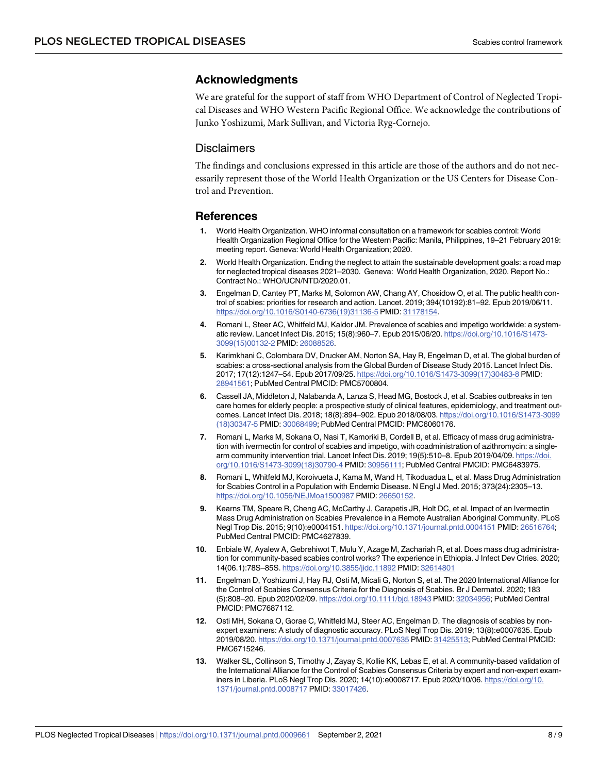# <span id="page-7-0"></span>**Acknowledgments**

We are grateful for the support of staff from WHO Department of Control of Neglected Tropical Diseases and WHO Western Pacific Regional Office. We acknowledge the contributions of Junko Yoshizumi, Mark Sullivan, and Victoria Ryg-Cornejo.

### **Disclaimers**

The findings and conclusions expressed in this article are those of the authors and do not necessarily represent those of the World Health Organization or the US Centers for Disease Control and Prevention.

### **References**

- **[1](#page-1-0).** World Health Organization. WHO informal consultation on a framework for scabies control: World Health Organization Regional Office for the Western Pacific: Manila, Philippines, 19–21 February 2019: meeting report. Geneva: World Health Organization; 2020.
- **[2](#page-1-0).** World Health Organization. Ending the neglect to attain the sustainable development goals: a road map for neglected tropical diseases 2021–2030. Geneva: World Health Organization, 2020. Report No.: Contract No.: WHO/UCN/NTD/2020.01.
- **[3](#page-1-0).** Engelman D, Cantey PT, Marks M, Solomon AW, Chang AY, Chosidow O, et al. The public health control of scabies: priorities for research and action. Lancet. 2019; 394(10192):81–92. Epub 2019/06/11. [https://doi.org/10.1016/S0140-6736\(19\)31136-5](https://doi.org/10.1016/S0140-6736%2819%2931136-5) PMID: [31178154](http://www.ncbi.nlm.nih.gov/pubmed/31178154).
- **[4](#page-1-0).** Romani L, Steer AC, Whitfeld MJ, Kaldor JM. Prevalence of scabies and impetigo worldwide: a systematic review. Lancet Infect Dis. 2015; 15(8):960–7. Epub 2015/06/20. [https://doi.org/10.1016/S1473-](https://doi.org/10.1016/S1473-3099%2815%2900132-2) [3099\(15\)00132-2](https://doi.org/10.1016/S1473-3099%2815%2900132-2) PMID: [26088526](http://www.ncbi.nlm.nih.gov/pubmed/26088526).
- **[5](#page-1-0).** Karimkhani C, Colombara DV, Drucker AM, Norton SA, Hay R, Engelman D, et al. The global burden of scabies: a cross-sectional analysis from the Global Burden of Disease Study 2015. Lancet Infect Dis. 2017; 17(12):1247–54. Epub 2017/09/25. [https://doi.org/10.1016/S1473-3099\(17\)30483-8](https://doi.org/10.1016/S1473-3099%2817%2930483-8) PMID: [28941561](http://www.ncbi.nlm.nih.gov/pubmed/28941561); PubMed Central PMCID: PMC5700804.
- **[6](#page-1-0).** Cassell JA, Middleton J, Nalabanda A, Lanza S, Head MG, Bostock J, et al. Scabies outbreaks in ten care homes for elderly people: a prospective study of clinical features, epidemiology, and treatment outcomes. Lancet Infect Dis. 2018; 18(8):894–902. Epub 2018/08/03. [https://doi.org/10.1016/S1473-3099](https://doi.org/10.1016/S1473-3099%2818%2930347-5) [\(18\)30347-5](https://doi.org/10.1016/S1473-3099%2818%2930347-5) PMID: [30068499;](http://www.ncbi.nlm.nih.gov/pubmed/30068499) PubMed Central PMCID: PMC6060176.
- **[7](#page-1-0).** Romani L, Marks M, Sokana O, Nasi T, Kamoriki B, Cordell B, et al. Efficacy of mass drug administration with ivermectin for control of scabies and impetigo, with coadministration of azithromycin: a singlearm community intervention trial. Lancet Infect Dis. 2019; 19(5):510–8. Epub 2019/04/09. [https://doi.](https://doi.org/10.1016/S1473-3099%2818%2930790-4) [org/10.1016/S1473-3099\(18\)30790-4](https://doi.org/10.1016/S1473-3099%2818%2930790-4) PMID: [30956111;](http://www.ncbi.nlm.nih.gov/pubmed/30956111) PubMed Central PMCID: PMC6483975.
- **[8](#page-1-0).** Romani L, Whitfeld MJ, Koroivueta J, Kama M, Wand H, Tikoduadua L, et al. Mass Drug Administration for Scabies Control in a Population with Endemic Disease. N Engl J Med. 2015; 373(24):2305–13. <https://doi.org/10.1056/NEJMoa1500987> PMID: [26650152](http://www.ncbi.nlm.nih.gov/pubmed/26650152).
- **[9](#page-1-0).** Kearns TM, Speare R, Cheng AC, McCarthy J, Carapetis JR, Holt DC, et al. Impact of an Ivermectin Mass Drug Administration on Scabies Prevalence in a Remote Australian Aboriginal Community. PLoS Negl Trop Dis. 2015; 9(10):e0004151. <https://doi.org/10.1371/journal.pntd.0004151> PMID: [26516764](http://www.ncbi.nlm.nih.gov/pubmed/26516764); PubMed Central PMCID: PMC4627839.
- **[10](#page-1-0).** Enbiale W, Ayalew A, Gebrehiwot T, Mulu Y, Azage M, Zachariah R, et al. Does mass drug administration for community-based scabies control works? The experience in Ethiopia. J Infect Dev Ctries. 2020; 14(06.1):78S–85S. <https://doi.org/10.3855/jidc.11892> PMID: [32614801](http://www.ncbi.nlm.nih.gov/pubmed/32614801)
- **[11](#page-3-0).** Engelman D, Yoshizumi J, Hay RJ, Osti M, Micali G, Norton S, et al. The 2020 International Alliance for the Control of Scabies Consensus Criteria for the Diagnosis of Scabies. Br J Dermatol. 2020; 183 (5):808–20. Epub 2020/02/09. <https://doi.org/10.1111/bjd.18943> PMID: [32034956](http://www.ncbi.nlm.nih.gov/pubmed/32034956); PubMed Central PMCID: PMC7687112.
- **[12](#page-3-0).** Osti MH, Sokana O, Gorae C, Whitfeld MJ, Steer AC, Engelman D. The diagnosis of scabies by nonexpert examiners: A study of diagnostic accuracy. PLoS Negl Trop Dis. 2019; 13(8):e0007635. Epub 2019/08/20. <https://doi.org/10.1371/journal.pntd.0007635> PMID: [31425513](http://www.ncbi.nlm.nih.gov/pubmed/31425513); PubMed Central PMCID: PMC6715246.
- **[13](#page-3-0).** Walker SL, Collinson S, Timothy J, Zayay S, Kollie KK, Lebas E, et al. A community-based validation of the International Alliance for the Control of Scabies Consensus Criteria by expert and non-expert examiners in Liberia. PLoS Negl Trop Dis. 2020; 14(10):e0008717. Epub 2020/10/06. [https://doi.org/10.](https://doi.org/10.1371/journal.pntd.0008717) [1371/journal.pntd.0008717](https://doi.org/10.1371/journal.pntd.0008717) PMID: [33017426](http://www.ncbi.nlm.nih.gov/pubmed/33017426).